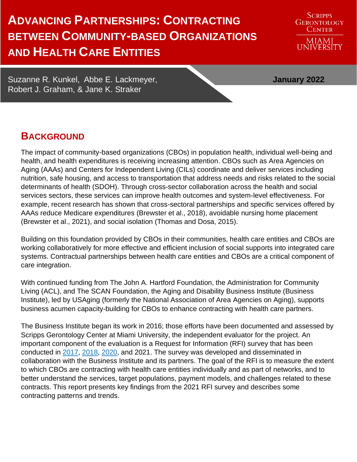# **ADVANCING PARTNERSHIPS: CONTRACTING BETWEEN COMMUNITY-BASED ORGANIZATIONS AND HEALTH CARE ENTITIES**

Suzanne R. Kunkel, Abbe E. Lackmeyer, **January 2022** Robert J. Graham, & Jane K. Straker

## **BACKGROUND**

The impact of community-based organizations (CBOs) in population health, individual well-being and health, and health expenditures is receiving increasing attention. CBOs such as Area Agencies on Aging (AAAs) and Centers for Independent Living (CILs) coordinate and deliver services including nutrition, safe housing, and access to transportation that address needs and risks related to the social determinants of health (SDOH). Through cross-sector collaboration across the health and social services sectors, these services can improve health outcomes and system-level effectiveness. For example, recent research has shown that cross-sectoral partnerships and specific services offered by AAAs reduce Medicare expenditures (Brewster et al., 2018), avoidable nursing home placement (Brewster et al., 2021), and social isolation (Thomas and Dosa, 2015).

Building on this foundation provided by CBOs in their communities, health care entities and CBOs are working collaboratively for more effective and efficient inclusion of social supports into integrated care systems. Contractual partnerships between health care entities and CBOs are a critical component of care integration.

With continued funding from The John A. Hartford Foundation, the Administration for Community Living (ACL), and The SCAN Foundation, the Aging and Disability Business Institute (Business Institute), led by USAging (formerly the National Association of Area Agencies on Aging), supports business acumen capacity-building for CBOs to enhance contracting with health care partners.

The Business Institute began its work in 2016; those efforts have been documented and assessed by Scripps Gerontology Center at Miami University, the independent evaluator for the project. An important component of the evaluation is a Request for Information (RFI) survey that has been conducted in [2017,](https://www.miamioh.edu/cas/academics/centers/scripps/research/publications/2017/12/Community-based-organizations-and-health-care-contracting.html) [2018,](https://www.miamioh.edu/cas/academics/centers/scripps/research/publications/2018/11/community-based-organizations-and-health-care-contracting-building-and-strengthening-partnerships.html) [2020,](https://www.miamioh.edu/cas/academics/centers/scripps/research/publications/2020/12/strengthening-ties-contracting-between-community-based-organizations-and-health-care-entities.html) and 2021. The survey was developed and disseminated in collaboration with the Business Institute and its partners. The goal of the RFI is to measure the extent to which CBOs are contracting with health care entities individually and as part of networks, and to better understand the services, target populations, payment models, and challenges related to these contracts. This report presents key findings from the 2021 RFI survey and describes some contracting patterns and trends.

MIAMI<br>UNIVERSITY

**SCRIPPS GERONTOLOGY** CENTER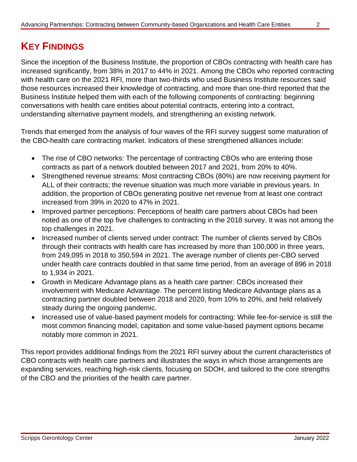# **KEY FINDINGS**

Since the inception of the Business Institute, the proportion of CBOs contracting with health care has increased significantly, from 38% in 2017 to 44% in 2021. Among the CBOs who reported contracting with health care on the 2021 RFI, more than two-thirds who used Business Institute resources said those resources increased their knowledge of contracting, and more than one-third reported that the Business Institute helped them with each of the following components of contracting: beginning conversations with health care entities about potential contracts, entering into a contract, understanding alternative payment models, and strengthening an existing network.

Trends that emerged from the analysis of four waves of the RFI survey suggest some maturation of the CBO-health care contracting market. Indicators of these strengthened alliances include:

- The rise of CBO networks: The percentage of contracting CBOs who are entering those contracts as part of a network doubled between 2017 and 2021, from 20% to 40%.
- Strengthened revenue streams: Most contracting CBOs (80%) are now receiving payment for ALL of their contracts; the revenue situation was much more variable in previous years. In addition, the proportion of CBOs generating positive net revenue from at least one contract increased from 39% in 2020 to 47% in 2021.
- Improved partner perceptions: Perceptions of health care partners about CBOs had been noted as one of the top five challenges to contracting in the 2018 survey. It was not among the top challenges in 2021.
- Increased number of clients served under contract: The number of clients served by CBOs through their contracts with health care has increased by more than 100,000 in three years, from 249,095 in 2018 to 350,594 in 2021. The average number of clients per-CBO served under health care contracts doubled in that same time period, from an average of 896 in 2018 to 1,934 in 2021.
- Growth in Medicare Advantage plans as a health care partner: CBOs increased their involvement with Medicare Advantage. The percent listing Medicare Advantage plans as a contracting partner doubled between 2018 and 2020, from 10% to 20%, and held relatively steady during the ongoing pandemic.
- Increased use of value-based payment models for contracting: While fee-for-service is still the most common financing model, capitation and some value-based payment options became notably more common in 2021.

This report provides additional findings from the 2021 RFI survey about the current characteristics of CBO contracts with health care partners and illustrates the ways in which those arrangements are expanding services, reaching high-risk clients, focusing on SDOH, and tailored to the core strengths of the CBO and the priorities of the health care partner.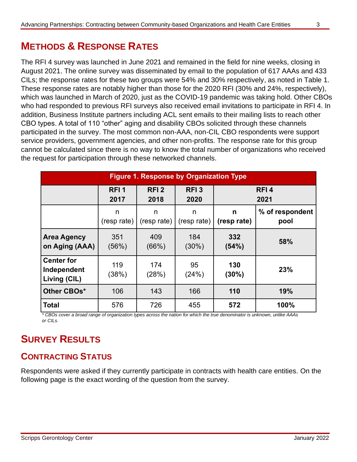# **METHODS & RESPONSE RATES**

The RFI 4 survey was launched in June 2021 and remained in the field for nine weeks, closing in August 2021. The online survey was disseminated by email to the population of 617 AAAs and 433 CILs; the response rates for these two groups were 54% and 30% respectively, as noted in Table 1. These response rates are notably higher than those for the 2020 RFI (30% and 24%, respectively), which was launched in March of 2020, just as the COVID-19 pandemic was taking hold. Other CBOs who had responded to previous RFI surveys also received email invitations to participate in RFI 4. In addition, Business Institute partners including ACL sent emails to their mailing lists to reach other CBO types. A total of 110 "other" aging and disability CBOs solicited through these channels participated in the survey. The most common non-AAA, non-CIL CBO respondents were support service providers, government agencies, and other non-profits. The response rate for this group cannot be calculated since there is no way to know the total number of organizations who received the request for participation through these networked channels.

| <b>Figure 1. Response by Organization Type</b>   |                          |                          |                          |                          |                         |  |  |  |  |
|--------------------------------------------------|--------------------------|--------------------------|--------------------------|--------------------------|-------------------------|--|--|--|--|
|                                                  | RFI <sub>1</sub><br>2017 | RFI <sub>2</sub><br>2018 | RFI <sub>3</sub><br>2020 | RFI <sub>4</sub><br>2021 |                         |  |  |  |  |
|                                                  | n<br>(resp rate)         | n<br>(resp rate)         | n<br>(resp rate)         | n<br>(resp rate)         | % of respondent<br>pool |  |  |  |  |
| <b>Area Agency</b><br>on Aging (AAA)             | 351<br>(56%)             | 409<br>(66%)             | 184<br>$(30\%)$          | 332<br>(54%)             | 58%                     |  |  |  |  |
| <b>Center for</b><br>Independent<br>Living (CIL) | 119<br>(38%)             | 174<br>(28%)             | 95<br>(24%)              | 130<br>$(30\%)$          | 23%                     |  |  |  |  |
| Other CBOs*                                      | 106                      | 143                      | 166                      | 110                      | 19%                     |  |  |  |  |
| <b>Total</b>                                     | 576                      | 726                      | 455                      | 572                      | 100%                    |  |  |  |  |

*\* CBOs cover a broad range of organization types across the nation for which the true denominator is unknown, unlike AAAs or CILs.*

# **SURVEY RESULTS**

### **CONTRACTING STATUS**

Respondents were asked if they currently participate in contracts with health care entities. On the following page is the exact wording of the question from the survey.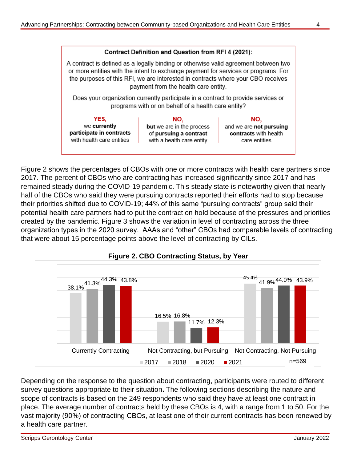

Figure 2 shows the percentages of CBOs with one or more contracts with health care partners since 2017. The percent of CBOs who are contracting has increased significantly since 2017 and has remained steady during the COVID-19 pandemic. This steady state is noteworthy given that nearly half of the CBOs who said they were pursuing contracts reported their efforts had to stop because their priorities shifted due to COVID-19; 44% of this same "pursuing contracts" group said their potential health care partners had to put the contract on hold because of the pressures and priorities created by the pandemic. Figure 3 shows the variation in level of contracting across the three organization types in the 2020 survey. AAAs and "other" CBOs had comparable levels of contracting that were about 15 percentage points above the level of contracting by CILs.





Depending on the response to the question about contracting, participants were routed to different survey questions appropriate to their situation**.** The following sections describing the nature and scope of contracts is based on the 249 respondents who said they have at least one contract in place. The average number of contracts held by these CBOs is 4, with a range from 1 to 50. For the vast majority (90%) of contracting CBOs, at least one of their current contracts has been renewed by a health care partner.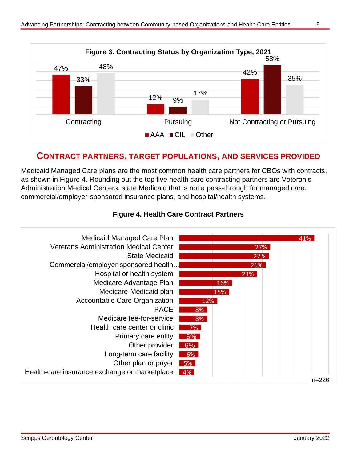

#### **CONTRACT PARTNERS, TARGET POPULATIONS, AND SERVICES PROVIDED**

Medicaid Managed Care plans are the most common health care partners for CBOs with contracts, as shown in Figure 4. Rounding out the top five health care contracting partners are Veteran's Administration Medical Centers, state Medicaid that is not a pass-through for managed care, commercial/employer-sponsored insurance plans, and hospital/health systems.



#### **Figure 4. Health Care Contract Partners**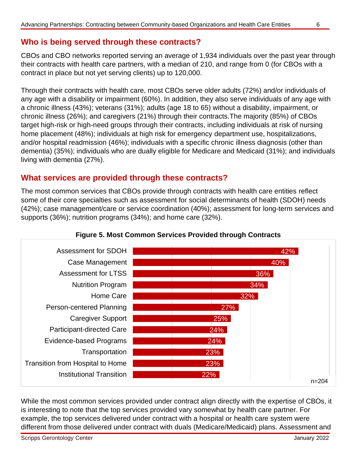#### **Who is being served through these contracts?**

CBOs and CBO networks reported serving an average of 1,934 individuals over the past year through their contracts with health care partners, with a median of 210, and range from 0 (for CBOs with a contract in place but not yet serving clients) up to 120,000.

Through their contracts with health care, most CBOs serve older adults (72%) and/or individuals of any age with a disability or impairment (60%). In addition, they also serve individuals of any age with a chronic illness (43%); veterans (31%); adults (age 18 to 65) without a disability, impairment, or chronic illness (26%); and caregivers (21%) through their contracts.The majority (85%) of CBOs target high-risk or high-need groups through their contracts, including individuals at risk of nursing home placement (48%); individuals at high risk for emergency department use, hospitalizations, and/or hospital readmission (46%); individuals with a specific chronic illness diagnosis (other than dementia) (35%); individuals who are dually eligible for Medicare and Medicaid (31%); and individuals living with dementia (27%).

#### **What services are provided through these contracts?**

The most common services that CBOs provide through contracts with health care entities reflect some of their core specialties such as assessment for social determinants of health (SDOH) needs (42%); case management/care or service coordination (40%); assessment for long-term services and supports (36%); nutrition programs (34%); and home care (32%).



#### **Figure 5. Most Common Services Provided through Contracts**

While the most common services provided under contract align directly with the expertise of CBOs, it is interesting to note that the top services provided vary somewhat by health care partner. For example, the top services delivered under contract with a hospital or health care system were different from those delivered under contract with duals (Medicare/Medicaid) plans. Assessment and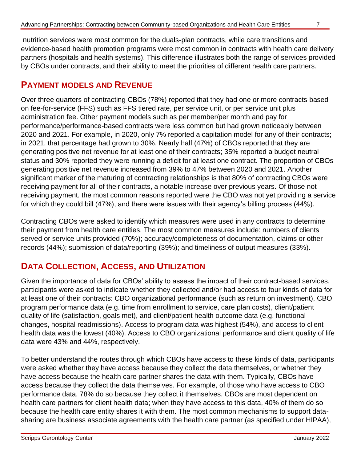nutrition services were most common for the duals-plan contracts, while care transitions and evidence-based health promotion programs were most common in contracts with health care delivery partners (hospitals and health systems). This difference illustrates both the range of services provided by CBOs under contracts, and their ability to meet the priorities of different health care partners.

#### **PAYMENT MODELS AND REVENUE**

Over three quarters of contracting CBOs (78%) reported that they had one or more contracts based on fee-for-service (FFS) such as FFS tiered rate, per service unit, or per service unit plus administration fee. Other payment models such as per member/per month and pay for performance/performance-based contracts were less common but had grown noticeably between 2020 and 2021. For example, in 2020, only 7% reported a capitation model for any of their contracts; in 2021, that percentage had grown to 30%. Nearly half (47%) of CBOs reported that they are generating positive net revenue for at least one of their contracts; 35% reported a budget neutral status and 30% reported they were running a deficit for at least one contract. The proportion of CBOs generating positive net revenue increased from 39% to 47% between 2020 and 2021. Another significant marker of the maturing of contracting relationships is that 80% of contracting CBOs were receiving payment for all of their contracts, a notable increase over previous years. Of those not receiving payment, the most common reasons reported were the CBO was not yet providing a service for which they could bill (47%), and there were issues with their agency's billing process (44%).

Contracting CBOs were asked to identify which measures were used in any contracts to determine their payment from health care entities. The most common measures include: numbers of clients served or service units provided (70%); accuracy/completeness of documentation, claims or other records (44%); submission of data/reporting (39%); and timeliness of output measures (33%).

### **DATA COLLECTION, ACCESS, AND UTILIZATION**

Given the importance of data for CBOs' ability to assess the impact of their contract-based services, participants were asked to indicate whether they collected and/or had access to four kinds of data for at least one of their contracts: CBO organizational performance (such as return on investment), CBO program performance data (e.g. time from enrollment to service, care plan costs), client/patient quality of life (satisfaction, goals met), and client/patient health outcome data (e.g. functional changes, hospital readmissions). Access to program data was highest (54%), and access to client health data was the lowest (40%). Access to CBO organizational performance and client quality of life data were 43% and 44%, respectively.

To better understand the routes through which CBOs have access to these kinds of data, participants were asked whether they have access because they collect the data themselves, or whether they have access because the health care partner shares the data with them. Typically, CBOs have access because they collect the data themselves. For example, of those who have access to CBO performance data, 78% do so because they collect it themselves. CBOs are most dependent on health care partners for client health data; when they have access to this data, 40% of them do so because the health care entity shares it with them. The most common mechanisms to support datasharing are business associate agreements with the health care partner (as specified under HIPAA),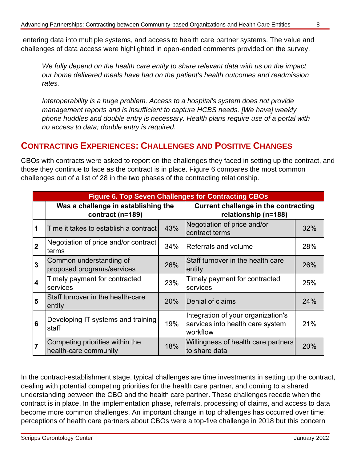entering data into multiple systems, and access to health care partner systems. The value and challenges of data access were highlighted in open-ended comments provided on the survey.

*We fully depend on the health care entity to share relevant data with us on the impact our home delivered meals have had on the patient's health outcomes and readmission rates.*

*Interoperability is a huge problem. Access to a hospital's system does not provide management reports and is insufficient to capture HCBS needs. [We have] weekly phone huddles and double entry is necessary. Health plans require use of a portal with no access to data; double entry is required.*

#### **CONTRACTING EXPERIENCES: CHALLENGES AND POSITIVE CHANGES**

CBOs with contracts were asked to report on the challenges they faced in setting up the contract, and those they continue to face as the contract is in place. Figure 6 compares the most common challenges out of a list of 28 in the two phases of the contracting relationship.

| <b>Figure 6. Top Seven Challenges for Contracting CBOs</b> |                                                          |     |                                                                                    |     |  |  |  |  |
|------------------------------------------------------------|----------------------------------------------------------|-----|------------------------------------------------------------------------------------|-----|--|--|--|--|
|                                                            | Was a challenge in establishing the<br>contract (n=189)  |     | <b>Current challenge in the contracting</b><br>relationship (n=188)                |     |  |  |  |  |
| 1                                                          | Time it takes to establish a contract                    | 43% | Negotiation of price and/or<br>contract terms                                      | 32% |  |  |  |  |
| $\overline{2}$                                             | Negotiation of price and/or contract<br>terms            | 34% | Referrals and volume                                                               | 28% |  |  |  |  |
| $\overline{3}$                                             | Common understanding of<br>proposed programs/services    | 26% | Staff turnover in the health care<br>entity                                        | 26% |  |  |  |  |
| $\overline{4}$                                             | Timely payment for contracted<br>services                | 23% | Timely payment for contracted<br>services                                          | 25% |  |  |  |  |
| 5                                                          | Staff turnover in the health-care<br>entity              | 20% | Denial of claims                                                                   | 24% |  |  |  |  |
| 6                                                          | Developing IT systems and training<br>staff              | 19% | Integration of your organization's<br>services into health care system<br>workflow | 21% |  |  |  |  |
| $\overline{7}$                                             | Competing priorities within the<br>health-care community | 18% | Willingness of health care partners<br>to share data                               | 20% |  |  |  |  |

In the contract-establishment stage, typical challenges are time investments in setting up the contract, dealing with potential competing priorities for the health care partner, and coming to a shared understanding between the CBO and the health care partner. These challenges recede when the contract is in place. In the implementation phase, referrals, processing of claims, and access to data become more common challenges. An important change in top challenges has occurred over time; perceptions of health care partners about CBOs were a top-five challenge in 2018 but this concern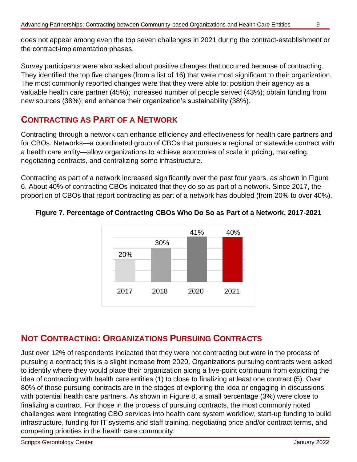does not appear among even the top seven challenges in 2021 during the contract-establishment or the contract-implementation phases.

Survey participants were also asked about positive changes that occurred because of contracting. They identified the top five changes (from a list of 16) that were most significant to their organization. The most commonly reported changes were that they were able to: position their agency as a valuable health care partner (45%); increased number of people served (43%); obtain funding from new sources (38%); and enhance their organization's sustainability (38%).

### **CONTRACTING AS PART OF A NETWORK**

Contracting through a network can enhance efficiency and effectiveness for health care partners and for CBOs. Networks—a coordinated group of CBOs that pursues a regional or statewide contract with a health care entity—allow organizations to achieve economies of scale in pricing, marketing, negotiating contracts, and centralizing some infrastructure.

Contracting as part of a network increased significantly over the past four years, as shown in Figure 6. About 40% of contracting CBOs indicated that they do so as part of a network. Since 2017, the proportion of CBOs that report contracting as part of a network has doubled (from 20% to over 40%).



#### **Figure 7. Percentage of Contracting CBOs Who Do So as Part of a Network, 2017-2021**

#### **NOT CONTRACTING: ORGANIZATIONS PURSUING CONTRACTS**

Just over 12% of respondents indicated that they were not contracting but were in the process of pursuing a contract; this is a slight increase from 2020. Organizations pursuing contracts were asked to identify where they would place their organization along a five-point continuum from exploring the idea of contracting with health care entities (1) to close to finalizing at least one contract (5). Over 80% of those pursuing contracts are in the stages of exploring the idea or engaging in discussions with potential health care partners. As shown in Figure 8, a small percentage (3%) were close to finalizing a contract. For those in the process of pursuing contracts, the most commonly noted challenges were integrating CBO services into health care system workflow, start-up funding to build infrastructure, funding for IT systems and staff training, negotiating price and/or contract terms, and competing priorities in the health care community.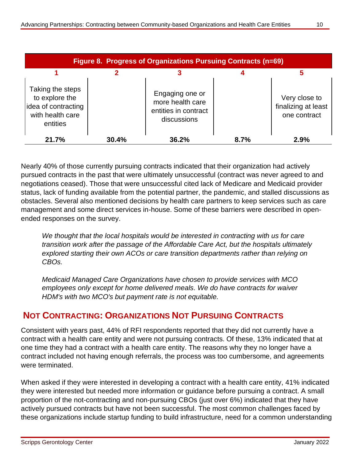| Figure 8. Progress of Organizations Pursuing Contracts (n=69)                             |       |                                                                            |      |                                                      |  |  |  |  |
|-------------------------------------------------------------------------------------------|-------|----------------------------------------------------------------------------|------|------------------------------------------------------|--|--|--|--|
|                                                                                           |       |                                                                            |      |                                                      |  |  |  |  |
| Taking the steps<br>to explore the<br>idea of contracting<br>with health care<br>entities |       | Engaging one or<br>more health care<br>entities in contract<br>discussions |      | Very close to<br>finalizing at least<br>one contract |  |  |  |  |
| 21.7%                                                                                     | 30.4% | 36.2%                                                                      | 8.7% | 2.9%                                                 |  |  |  |  |

Nearly 40% of those currently pursuing contracts indicated that their organization had actively pursued contracts in the past that were ultimately unsuccessful (contract was never agreed to and negotiations ceased). Those that were unsuccessful cited lack of Medicare and Medicaid provider status, lack of funding available from the potential partner, the pandemic, and stalled discussions as obstacles. Several also mentioned decisions by health care partners to keep services such as care management and some direct services in-house. Some of these barriers were described in openended responses on the survey.

*We thought that the local hospitals would be interested in contracting with us for care transition work after the passage of the Affordable Care Act, but the hospitals ultimately explored starting their own ACOs or care transition departments rather than relying on CBOs.* 

*Medicaid Managed Care Organizations have chosen to provide services with MCO employees only except for home delivered meals. We do have contracts for waiver HDM's with two MCO's but payment rate is not equitable.*

### **NOT CONTRACTING: ORGANIZATIONS NOT PURSUING CONTRACTS**

Consistent with years past, 44% of RFI respondents reported that they did not currently have a contract with a health care entity and were not pursuing contracts. Of these, 13% indicated that at one time they had a contract with a health care entity. The reasons why they no longer have a contract included not having enough referrals, the process was too cumbersome, and agreements were terminated.

When asked if they were interested in developing a contract with a health care entity, 41% indicated they were interested but needed more information or guidance before pursuing a contract. A small proportion of the not-contracting and non-pursuing CBOs (just over 6%) indicated that they have actively pursued contracts but have not been successful. The most common challenges faced by these organizations include startup funding to build infrastructure, need for a common understanding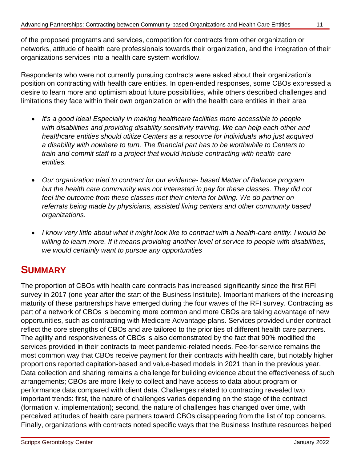organizations services into a health care system workflow.

Respondents who were not currently pursuing contracts were asked about their organization's position on contracting with health care entities. In open-ended responses, some CBOs expressed a desire to learn more and optimism about future possibilities, while others described challenges and limitations they face within their own organization or with the health care entities in their area

- *It's a good idea! Especially in making healthcare facilities more accessible to people with disabilities and providing disability sensitivity training. We can help each other and healthcare entities should utilize Centers as a resource for individuals who just acquired a disability with nowhere to turn. The financial part has to be worthwhile to Centers to train and commit staff to a project that would include contracting with health-care entities.*
- *Our organization tried to contract for our evidence- based Matter of Balance program but the health care community was not interested in pay for these classes. They did not feel the outcome from these classes met their criteria for billing. We do partner on referrals being made by physicians, assisted living centers and other community based organizations.*
- *I know very little about what it might look like to contract with a health-care entity. I would be willing to learn more. If it means providing another level of service to people with disabilities, we would certainly want to pursue any opportunities*

# **SUMMARY**

The proportion of CBOs with health care contracts has increased significantly since the first RFI survey in 2017 (one year after the start of the Business Institute). Important markers of the increasing maturity of these partnerships have emerged during the four waves of the RFI survey. Contracting as part of a network of CBOs is becoming more common and more CBOs are taking advantage of new opportunities, such as contracting with Medicare Advantage plans. Services provided under contract reflect the core strengths of CBOs and are tailored to the priorities of different health care partners. The agility and responsiveness of CBOs is also demonstrated by the fact that 90% modified the services provided in their contracts to meet pandemic-related needs. Fee-for-service remains the most common way that CBOs receive payment for their contracts with health care, but notably higher proportions reported capitation-based and value-based models in 2021 than in the previous year. Data collection and sharing remains a challenge for building evidence about the effectiveness of such arrangements; CBOs are more likely to collect and have access to data about program or performance data compared with client data. Challenges related to contracting revealed two important trends: first, the nature of challenges varies depending on the stage of the contract (formation v. implementation); second, the nature of challenges has changed over time, with perceived attitudes of health care partners toward CBOs disappearing from the list of top concerns. Finally, organizations with contracts noted specific ways that the Business Institute resources helped